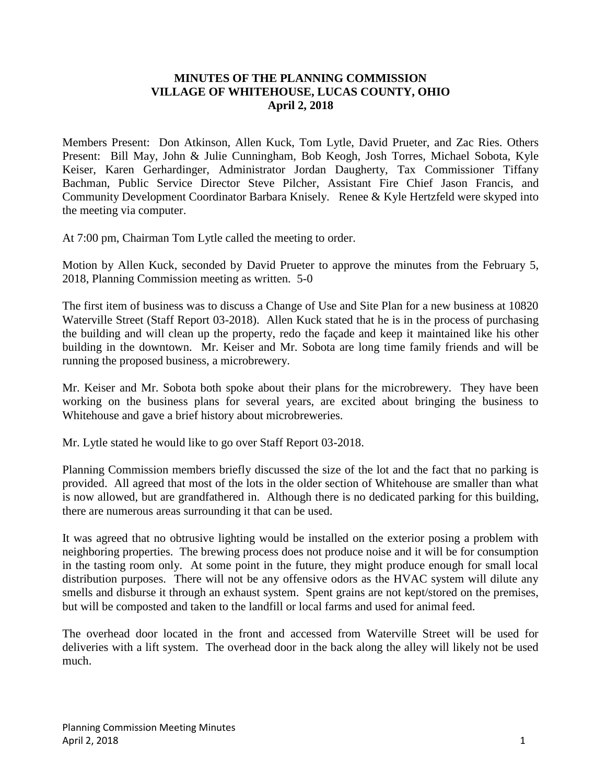## **MINUTES OF THE PLANNING COMMISSION VILLAGE OF WHITEHOUSE, LUCAS COUNTY, OHIO April 2, 2018**

Members Present: Don Atkinson, Allen Kuck, Tom Lytle, David Prueter, and Zac Ries. Others Present: Bill May, John & Julie Cunningham, Bob Keogh, Josh Torres, Michael Sobota, Kyle Keiser, Karen Gerhardinger, Administrator Jordan Daugherty, Tax Commissioner Tiffany Bachman, Public Service Director Steve Pilcher, Assistant Fire Chief Jason Francis, and Community Development Coordinator Barbara Knisely. Renee & Kyle Hertzfeld were skyped into the meeting via computer.

At 7:00 pm, Chairman Tom Lytle called the meeting to order.

Motion by Allen Kuck, seconded by David Prueter to approve the minutes from the February 5, 2018, Planning Commission meeting as written. 5-0

The first item of business was to discuss a Change of Use and Site Plan for a new business at 10820 Waterville Street (Staff Report 03-2018). Allen Kuck stated that he is in the process of purchasing the building and will clean up the property, redo the façade and keep it maintained like his other building in the downtown. Mr. Keiser and Mr. Sobota are long time family friends and will be running the proposed business, a microbrewery.

Mr. Keiser and Mr. Sobota both spoke about their plans for the microbrewery. They have been working on the business plans for several years, are excited about bringing the business to Whitehouse and gave a brief history about microbreweries.

Mr. Lytle stated he would like to go over Staff Report 03-2018.

Planning Commission members briefly discussed the size of the lot and the fact that no parking is provided. All agreed that most of the lots in the older section of Whitehouse are smaller than what is now allowed, but are grandfathered in. Although there is no dedicated parking for this building, there are numerous areas surrounding it that can be used.

It was agreed that no obtrusive lighting would be installed on the exterior posing a problem with neighboring properties. The brewing process does not produce noise and it will be for consumption in the tasting room only. At some point in the future, they might produce enough for small local distribution purposes. There will not be any offensive odors as the HVAC system will dilute any smells and disburse it through an exhaust system. Spent grains are not kept/stored on the premises, but will be composted and taken to the landfill or local farms and used for animal feed.

The overhead door located in the front and accessed from Waterville Street will be used for deliveries with a lift system. The overhead door in the back along the alley will likely not be used much.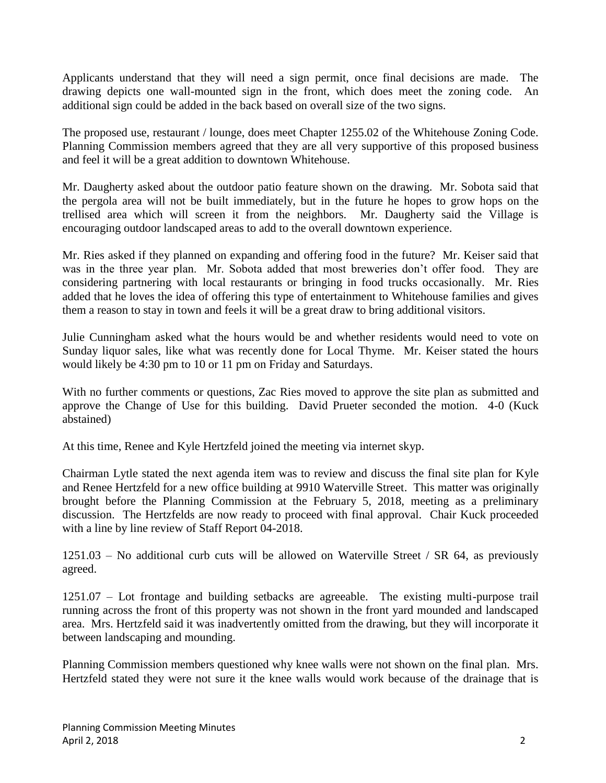Applicants understand that they will need a sign permit, once final decisions are made. The drawing depicts one wall-mounted sign in the front, which does meet the zoning code. An additional sign could be added in the back based on overall size of the two signs.

The proposed use, restaurant / lounge, does meet Chapter 1255.02 of the Whitehouse Zoning Code. Planning Commission members agreed that they are all very supportive of this proposed business and feel it will be a great addition to downtown Whitehouse.

Mr. Daugherty asked about the outdoor patio feature shown on the drawing. Mr. Sobota said that the pergola area will not be built immediately, but in the future he hopes to grow hops on the trellised area which will screen it from the neighbors. Mr. Daugherty said the Village is encouraging outdoor landscaped areas to add to the overall downtown experience.

Mr. Ries asked if they planned on expanding and offering food in the future? Mr. Keiser said that was in the three year plan. Mr. Sobota added that most breweries don't offer food. They are considering partnering with local restaurants or bringing in food trucks occasionally. Mr. Ries added that he loves the idea of offering this type of entertainment to Whitehouse families and gives them a reason to stay in town and feels it will be a great draw to bring additional visitors.

Julie Cunningham asked what the hours would be and whether residents would need to vote on Sunday liquor sales, like what was recently done for Local Thyme. Mr. Keiser stated the hours would likely be 4:30 pm to 10 or 11 pm on Friday and Saturdays.

With no further comments or questions, Zac Ries moved to approve the site plan as submitted and approve the Change of Use for this building. David Prueter seconded the motion. 4-0 (Kuck abstained)

At this time, Renee and Kyle Hertzfeld joined the meeting via internet skyp.

Chairman Lytle stated the next agenda item was to review and discuss the final site plan for Kyle and Renee Hertzfeld for a new office building at 9910 Waterville Street. This matter was originally brought before the Planning Commission at the February 5, 2018, meeting as a preliminary discussion. The Hertzfelds are now ready to proceed with final approval. Chair Kuck proceeded with a line by line review of Staff Report 04-2018.

 $1251.03$  – No additional curb cuts will be allowed on Waterville Street / SR 64, as previously agreed.

1251.07 – Lot frontage and building setbacks are agreeable. The existing multi-purpose trail running across the front of this property was not shown in the front yard mounded and landscaped area. Mrs. Hertzfeld said it was inadvertently omitted from the drawing, but they will incorporate it between landscaping and mounding.

Planning Commission members questioned why knee walls were not shown on the final plan. Mrs. Hertzfeld stated they were not sure it the knee walls would work because of the drainage that is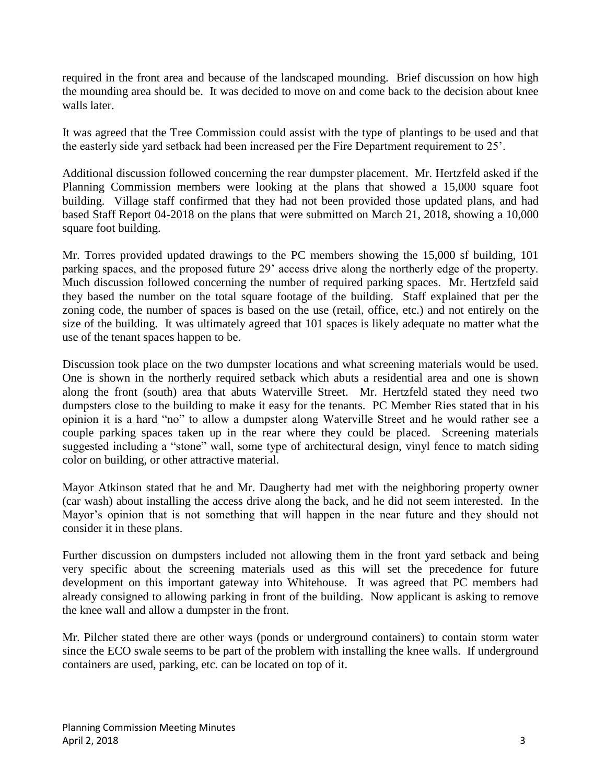required in the front area and because of the landscaped mounding. Brief discussion on how high the mounding area should be. It was decided to move on and come back to the decision about knee walls later.

It was agreed that the Tree Commission could assist with the type of plantings to be used and that the easterly side yard setback had been increased per the Fire Department requirement to 25'.

Additional discussion followed concerning the rear dumpster placement. Mr. Hertzfeld asked if the Planning Commission members were looking at the plans that showed a 15,000 square foot building. Village staff confirmed that they had not been provided those updated plans, and had based Staff Report 04-2018 on the plans that were submitted on March 21, 2018, showing a 10,000 square foot building.

Mr. Torres provided updated drawings to the PC members showing the 15,000 sf building, 101 parking spaces, and the proposed future 29' access drive along the northerly edge of the property. Much discussion followed concerning the number of required parking spaces. Mr. Hertzfeld said they based the number on the total square footage of the building. Staff explained that per the zoning code, the number of spaces is based on the use (retail, office, etc.) and not entirely on the size of the building. It was ultimately agreed that 101 spaces is likely adequate no matter what the use of the tenant spaces happen to be.

Discussion took place on the two dumpster locations and what screening materials would be used. One is shown in the northerly required setback which abuts a residential area and one is shown along the front (south) area that abuts Waterville Street. Mr. Hertzfeld stated they need two dumpsters close to the building to make it easy for the tenants. PC Member Ries stated that in his opinion it is a hard "no" to allow a dumpster along Waterville Street and he would rather see a couple parking spaces taken up in the rear where they could be placed. Screening materials suggested including a "stone" wall, some type of architectural design, vinyl fence to match siding color on building, or other attractive material.

Mayor Atkinson stated that he and Mr. Daugherty had met with the neighboring property owner (car wash) about installing the access drive along the back, and he did not seem interested. In the Mayor's opinion that is not something that will happen in the near future and they should not consider it in these plans.

Further discussion on dumpsters included not allowing them in the front yard setback and being very specific about the screening materials used as this will set the precedence for future development on this important gateway into Whitehouse. It was agreed that PC members had already consigned to allowing parking in front of the building. Now applicant is asking to remove the knee wall and allow a dumpster in the front.

Mr. Pilcher stated there are other ways (ponds or underground containers) to contain storm water since the ECO swale seems to be part of the problem with installing the knee walls. If underground containers are used, parking, etc. can be located on top of it.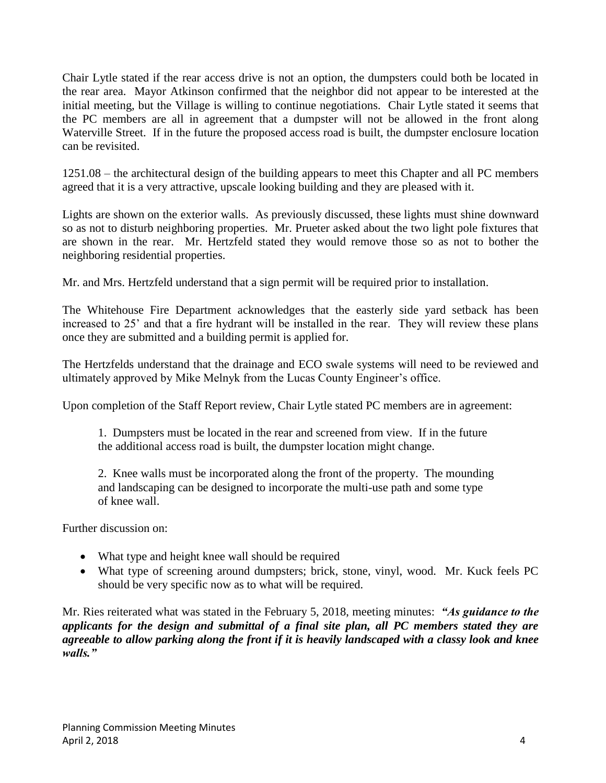Chair Lytle stated if the rear access drive is not an option, the dumpsters could both be located in the rear area. Mayor Atkinson confirmed that the neighbor did not appear to be interested at the initial meeting, but the Village is willing to continue negotiations. Chair Lytle stated it seems that the PC members are all in agreement that a dumpster will not be allowed in the front along Waterville Street. If in the future the proposed access road is built, the dumpster enclosure location can be revisited.

1251.08 – the architectural design of the building appears to meet this Chapter and all PC members agreed that it is a very attractive, upscale looking building and they are pleased with it.

Lights are shown on the exterior walls. As previously discussed, these lights must shine downward so as not to disturb neighboring properties. Mr. Prueter asked about the two light pole fixtures that are shown in the rear. Mr. Hertzfeld stated they would remove those so as not to bother the neighboring residential properties.

Mr. and Mrs. Hertzfeld understand that a sign permit will be required prior to installation.

The Whitehouse Fire Department acknowledges that the easterly side yard setback has been increased to 25' and that a fire hydrant will be installed in the rear. They will review these plans once they are submitted and a building permit is applied for.

The Hertzfelds understand that the drainage and ECO swale systems will need to be reviewed and ultimately approved by Mike Melnyk from the Lucas County Engineer's office.

Upon completion of the Staff Report review, Chair Lytle stated PC members are in agreement:

1. Dumpsters must be located in the rear and screened from view. If in the future the additional access road is built, the dumpster location might change.

2. Knee walls must be incorporated along the front of the property. The mounding and landscaping can be designed to incorporate the multi-use path and some type of knee wall.

Further discussion on:

- What type and height knee wall should be required
- What type of screening around dumpsters; brick, stone, vinyl, wood. Mr. Kuck feels PC should be very specific now as to what will be required.

Mr. Ries reiterated what was stated in the February 5, 2018, meeting minutes: *"As guidance to the applicants for the design and submittal of a final site plan, all PC members stated they are agreeable to allow parking along the front if it is heavily landscaped with a classy look and knee walls."*